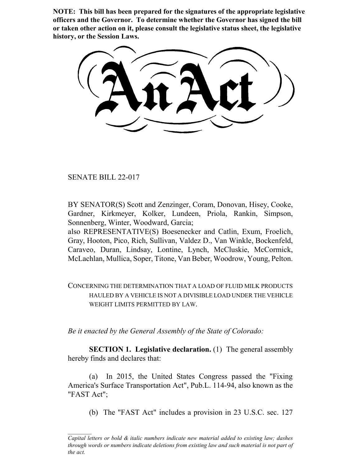**NOTE: This bill has been prepared for the signatures of the appropriate legislative officers and the Governor. To determine whether the Governor has signed the bill or taken other action on it, please consult the legislative status sheet, the legislative history, or the Session Laws.**

SENATE BILL 22-017

BY SENATOR(S) Scott and Zenzinger, Coram, Donovan, Hisey, Cooke, Gardner, Kirkmeyer, Kolker, Lundeen, Priola, Rankin, Simpson, Sonnenberg, Winter, Woodward, Garcia;

also REPRESENTATIVE(S) Boesenecker and Catlin, Exum, Froelich, Gray, Hooton, Pico, Rich, Sullivan, Valdez D., Van Winkle, Bockenfeld, Caraveo, Duran, Lindsay, Lontine, Lynch, McCluskie, McCormick, McLachlan, Mullica, Soper, Titone, Van Beber, Woodrow, Young, Pelton.

CONCERNING THE DETERMINATION THAT A LOAD OF FLUID MILK PRODUCTS HAULED BY A VEHICLE IS NOT A DIVISIBLE LOAD UNDER THE VEHICLE WEIGHT LIMITS PERMITTED BY LAW.

*Be it enacted by the General Assembly of the State of Colorado:*

**SECTION 1. Legislative declaration.** (1) The general assembly hereby finds and declares that:

(a) In 2015, the United States Congress passed the "Fixing America's Surface Transportation Act", Pub.L. 114-94, also known as the "FAST Act";

(b) The "FAST Act" includes a provision in 23 U.S.C. sec. 127

*Capital letters or bold & italic numbers indicate new material added to existing law; dashes through words or numbers indicate deletions from existing law and such material is not part of the act.*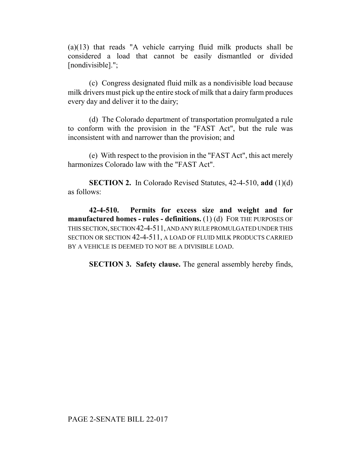(a)(13) that reads "A vehicle carrying fluid milk products shall be considered a load that cannot be easily dismantled or divided [nondivisible].";

(c) Congress designated fluid milk as a nondivisible load because milk drivers must pick up the entire stock of milk that a dairy farm produces every day and deliver it to the dairy;

(d) The Colorado department of transportation promulgated a rule to conform with the provision in the "FAST Act", but the rule was inconsistent with and narrower than the provision; and

(e) With respect to the provision in the "FAST Act", this act merely harmonizes Colorado law with the "FAST Act".

**SECTION 2.** In Colorado Revised Statutes, 42-4-510, **add** (1)(d) as follows:

**42-4-510. Permits for excess size and weight and for manufactured homes - rules - definitions.** (1) (d) FOR THE PURPOSES OF THIS SECTION, SECTION 42-4-511, AND ANY RULE PROMULGATED UNDER THIS SECTION OR SECTION 42-4-511, A LOAD OF FLUID MILK PRODUCTS CARRIED BY A VEHICLE IS DEEMED TO NOT BE A DIVISIBLE LOAD.

**SECTION 3. Safety clause.** The general assembly hereby finds,